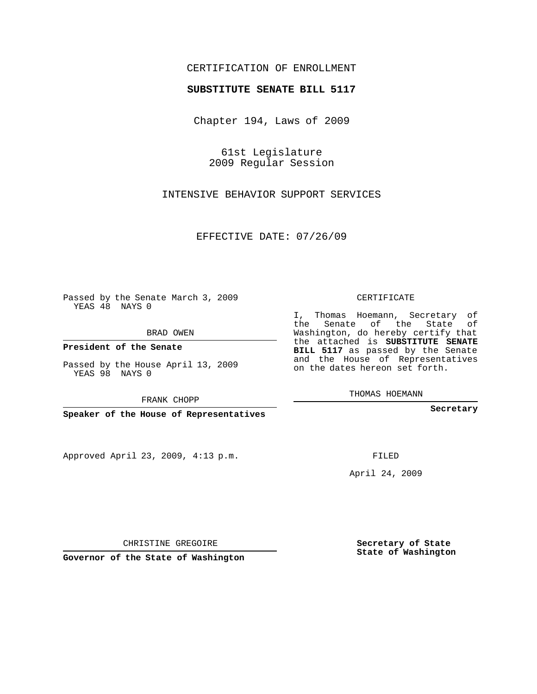## CERTIFICATION OF ENROLLMENT

## **SUBSTITUTE SENATE BILL 5117**

Chapter 194, Laws of 2009

61st Legislature 2009 Regular Session

INTENSIVE BEHAVIOR SUPPORT SERVICES

EFFECTIVE DATE: 07/26/09

Passed by the Senate March 3, 2009 YEAS 48 NAYS 0

BRAD OWEN

**President of the Senate**

Passed by the House April 13, 2009 YEAS 98 NAYS 0

FRANK CHOPP

**Speaker of the House of Representatives**

Approved April 23, 2009, 4:13 p.m.

CERTIFICATE

I, Thomas Hoemann, Secretary of the Senate of the State of Washington, do hereby certify that the attached is **SUBSTITUTE SENATE BILL 5117** as passed by the Senate and the House of Representatives on the dates hereon set forth.

THOMAS HOEMANN

**Secretary**

FILED

April 24, 2009

CHRISTINE GREGOIRE

**Governor of the State of Washington**

**Secretary of State State of Washington**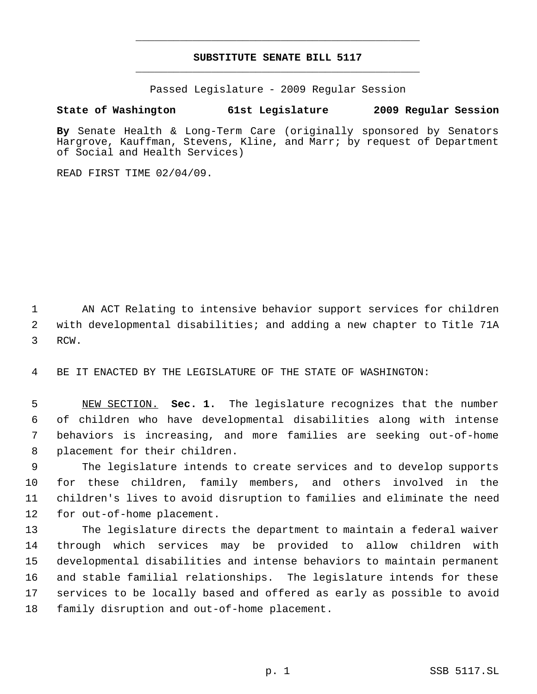## **SUBSTITUTE SENATE BILL 5117** \_\_\_\_\_\_\_\_\_\_\_\_\_\_\_\_\_\_\_\_\_\_\_\_\_\_\_\_\_\_\_\_\_\_\_\_\_\_\_\_\_\_\_\_\_

\_\_\_\_\_\_\_\_\_\_\_\_\_\_\_\_\_\_\_\_\_\_\_\_\_\_\_\_\_\_\_\_\_\_\_\_\_\_\_\_\_\_\_\_\_

Passed Legislature - 2009 Regular Session

## **State of Washington 61st Legislature 2009 Regular Session**

**By** Senate Health & Long-Term Care (originally sponsored by Senators Hargrove, Kauffman, Stevens, Kline, and Marr; by request of Department of Social and Health Services)

READ FIRST TIME 02/04/09.

 AN ACT Relating to intensive behavior support services for children with developmental disabilities; and adding a new chapter to Title 71A RCW.

BE IT ENACTED BY THE LEGISLATURE OF THE STATE OF WASHINGTON:

 NEW SECTION. **Sec. 1.** The legislature recognizes that the number of children who have developmental disabilities along with intense behaviors is increasing, and more families are seeking out-of-home placement for their children.

 The legislature intends to create services and to develop supports for these children, family members, and others involved in the children's lives to avoid disruption to families and eliminate the need for out-of-home placement.

 The legislature directs the department to maintain a federal waiver through which services may be provided to allow children with developmental disabilities and intense behaviors to maintain permanent and stable familial relationships. The legislature intends for these services to be locally based and offered as early as possible to avoid family disruption and out-of-home placement.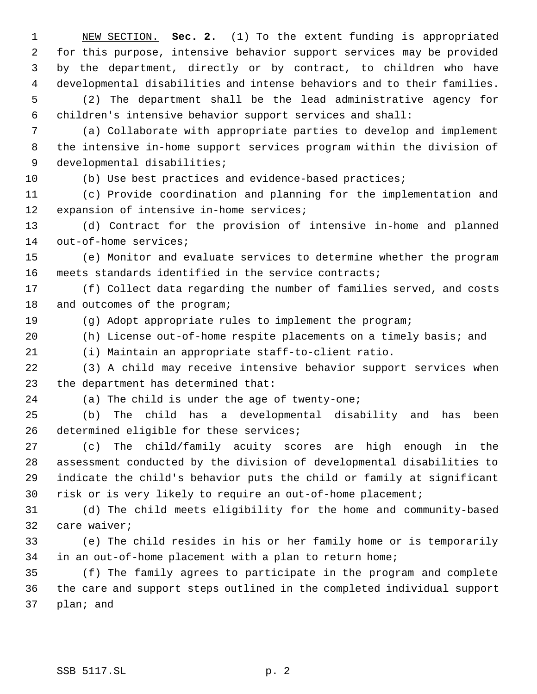NEW SECTION. **Sec. 2.** (1) To the extent funding is appropriated for this purpose, intensive behavior support services may be provided by the department, directly or by contract, to children who have developmental disabilities and intense behaviors and to their families. (2) The department shall be the lead administrative agency for children's intensive behavior support services and shall: (a) Collaborate with appropriate parties to develop and implement

 the intensive in-home support services program within the division of 9 developmental disabilities;

(b) Use best practices and evidence-based practices;

 (c) Provide coordination and planning for the implementation and expansion of intensive in-home services;

 (d) Contract for the provision of intensive in-home and planned out-of-home services;

 (e) Monitor and evaluate services to determine whether the program meets standards identified in the service contracts;

 (f) Collect data regarding the number of families served, and costs and outcomes of the program;

(g) Adopt appropriate rules to implement the program;

(h) License out-of-home respite placements on a timely basis; and

(i) Maintain an appropriate staff-to-client ratio.

 (3) A child may receive intensive behavior support services when the department has determined that:

(a) The child is under the age of twenty-one;

 (b) The child has a developmental disability and has been 26 determined eligible for these services;

 (c) The child/family acuity scores are high enough in the assessment conducted by the division of developmental disabilities to indicate the child's behavior puts the child or family at significant risk or is very likely to require an out-of-home placement;

 (d) The child meets eligibility for the home and community-based care waiver;

 (e) The child resides in his or her family home or is temporarily in an out-of-home placement with a plan to return home;

 (f) The family agrees to participate in the program and complete the care and support steps outlined in the completed individual support plan; and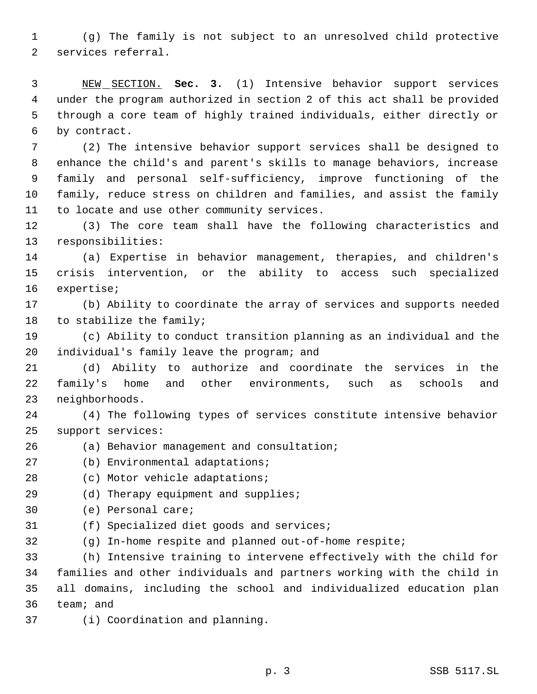(g) The family is not subject to an unresolved child protective services referral.

 NEW SECTION. **Sec. 3.** (1) Intensive behavior support services under the program authorized in section 2 of this act shall be provided through a core team of highly trained individuals, either directly or by contract.

 (2) The intensive behavior support services shall be designed to enhance the child's and parent's skills to manage behaviors, increase family and personal self-sufficiency, improve functioning of the family, reduce stress on children and families, and assist the family to locate and use other community services.

 (3) The core team shall have the following characteristics and responsibilities:

 (a) Expertise in behavior management, therapies, and children's crisis intervention, or the ability to access such specialized expertise;

 (b) Ability to coordinate the array of services and supports needed to stabilize the family;

 (c) Ability to conduct transition planning as an individual and the individual's family leave the program; and

 (d) Ability to authorize and coordinate the services in the family's home and other environments, such as schools and neighborhoods.

 (4) The following types of services constitute intensive behavior support services:

(a) Behavior management and consultation;

(b) Environmental adaptations;

28 (c) Motor vehicle adaptations;

29 (d) Therapy equipment and supplies;

(e) Personal care;

(f) Specialized diet goods and services;

(g) In-home respite and planned out-of-home respite;

 (h) Intensive training to intervene effectively with the child for families and other individuals and partners working with the child in all domains, including the school and individualized education plan team; and

(i) Coordination and planning.